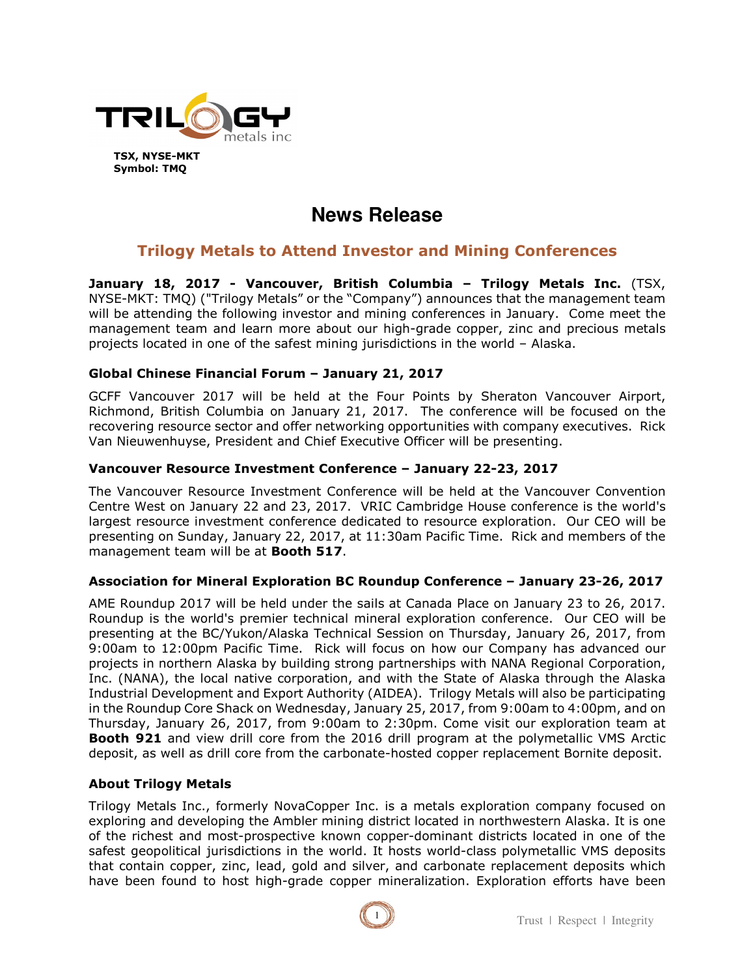

# **News Release**

# **Trilogy Metals to Attend Investor and Mining Conferences**

**January 18, 2017 - Vancouver, British Columbia – Trilogy Metals Inc.** (TSX, NYSE-MKT: TMQ) ("Trilogy Metals" or the "Company") announces that the management team will be attending the following investor and mining conferences in January. Come meet the management team and learn more about our high-grade copper, zinc and precious metals projects located in one of the safest mining jurisdictions in the world – Alaska.

## **Global Chinese Financial Forum – January 21, 2017**

GCFF Vancouver 2017 will be held at the Four Points by Sheraton Vancouver Airport, Richmond, British Columbia on January 21, 2017. The conference will be focused on the recovering resource sector and offer networking opportunities with company executives. Rick Van Nieuwenhuyse, President and Chief Executive Officer will be presenting.

## **Vancouver Resource Investment Conference – January 22-23, 2017**

The Vancouver Resource Investment Conference will be held at the Vancouver Convention Centre West on January 22 and 23, 2017. VRIC Cambridge House conference is the world's largest resource investment conference dedicated to resource exploration. Our CEO will be presenting on Sunday, January 22, 2017, at 11:30am Pacific Time. Rick and members of the management team will be at **Booth 517**.

#### **Association for Mineral Exploration BC Roundup Conference – January 23-26, 2017**

AME Roundup 2017 will be held under the sails at Canada Place on January 23 to 26, 2017. Roundup is the world's premier technical mineral exploration conference. Our CEO will be presenting at the BC/Yukon/Alaska Technical Session on Thursday, January 26, 2017, from 9:00am to 12:00pm Pacific Time. Rick will focus on how our Company has advanced our projects in northern Alaska by building strong partnerships with NANA Regional Corporation, Inc. (NANA), the local native corporation, and with the State of Alaska through the Alaska Industrial Development and Export Authority (AIDEA). Trilogy Metals will also be participating in the Roundup Core Shack on Wednesday, January 25, 2017, from 9:00am to 4:00pm, and on Thursday, January 26, 2017, from 9:00am to 2:30pm. Come visit our exploration team at **Booth 921** and view drill core from the 2016 drill program at the polymetallic VMS Arctic deposit, as well as drill core from the carbonate-hosted copper replacement Bornite deposit.

#### **About Trilogy Metals**

Trilogy Metals Inc., formerly NovaCopper Inc. is a metals exploration company focused on exploring and developing the Ambler mining district located in northwestern Alaska. It is one of the richest and most-prospective known copper-dominant districts located in one of the safest geopolitical jurisdictions in the world. It hosts world-class polymetallic VMS deposits that contain copper, zinc, lead, gold and silver, and carbonate replacement deposits which have been found to host high-grade copper mineralization. Exploration efforts have been